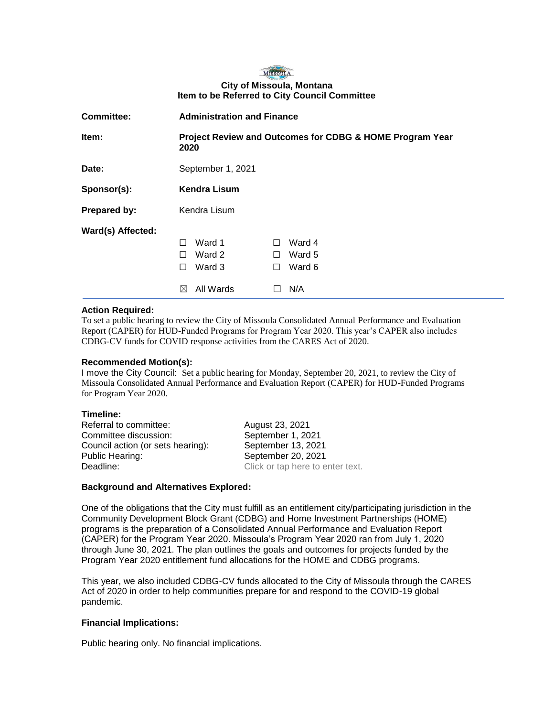## MISSOULA **City of Missoula, Montana Item to be Referred to City Council Committee**

| <b>Committee:</b> | <b>Administration and Finance</b>                                         |                                                        |
|-------------------|---------------------------------------------------------------------------|--------------------------------------------------------|
| Item:             | Project Review and Outcomes for CDBG & HOME Program Year<br>2020          |                                                        |
| Date:             | September 1, 2021                                                         |                                                        |
| Sponsor(s):       | <b>Kendra Lisum</b>                                                       |                                                        |
| Prepared by:      | Kendra Lisum                                                              |                                                        |
| Ward(s) Affected: | Ward 1<br>П<br>Ward 2<br>$\perp$<br>Ward 3<br>П<br>All Wards<br>$\bowtie$ | Ward 4<br>H<br>Ward 5<br>$\perp$<br>Ward 6<br>П<br>N/A |

#### **Action Required:**

To set a public hearing to review the City of Missoula Consolidated Annual Performance and Evaluation Report (CAPER) for HUD-Funded Programs for Program Year 2020. This year's CAPER also includes CDBG-CV funds for COVID response activities from the CARES Act of 2020.

### **Recommended Motion(s):**

I move the City Council: Set a public hearing for Monday, September 20, 2021, to review the City of Missoula Consolidated Annual Performance and Evaluation Report (CAPER) for HUD-Funded Programs for Program Year 2020.

### **Timeline:**

| Referral to committee:            | August 23, 2021                  |
|-----------------------------------|----------------------------------|
| Committee discussion:             | September 1, 2021                |
| Council action (or sets hearing): | September 13, 2021               |
| Public Hearing:                   | September 20, 2021               |
| Deadline:                         | Click or tap here to enter text. |

## **Background and Alternatives Explored:**

One of the obligations that the City must fulfill as an entitlement city/participating jurisdiction in the Community Development Block Grant (CDBG) and Home Investment Partnerships (HOME) programs is the preparation of a Consolidated Annual Performance and Evaluation Report (CAPER) for the Program Year 2020. Missoula's Program Year 2020 ran from July 1, 2020 through June 30, 2021. The plan outlines the goals and outcomes for projects funded by the Program Year 2020 entitlement fund allocations for the HOME and CDBG programs.

This year, we also included CDBG-CV funds allocated to the City of Missoula through the CARES Act of 2020 in order to help communities prepare for and respond to the COVID-19 global pandemic.

## **Financial Implications:**

Public hearing only. No financial implications.